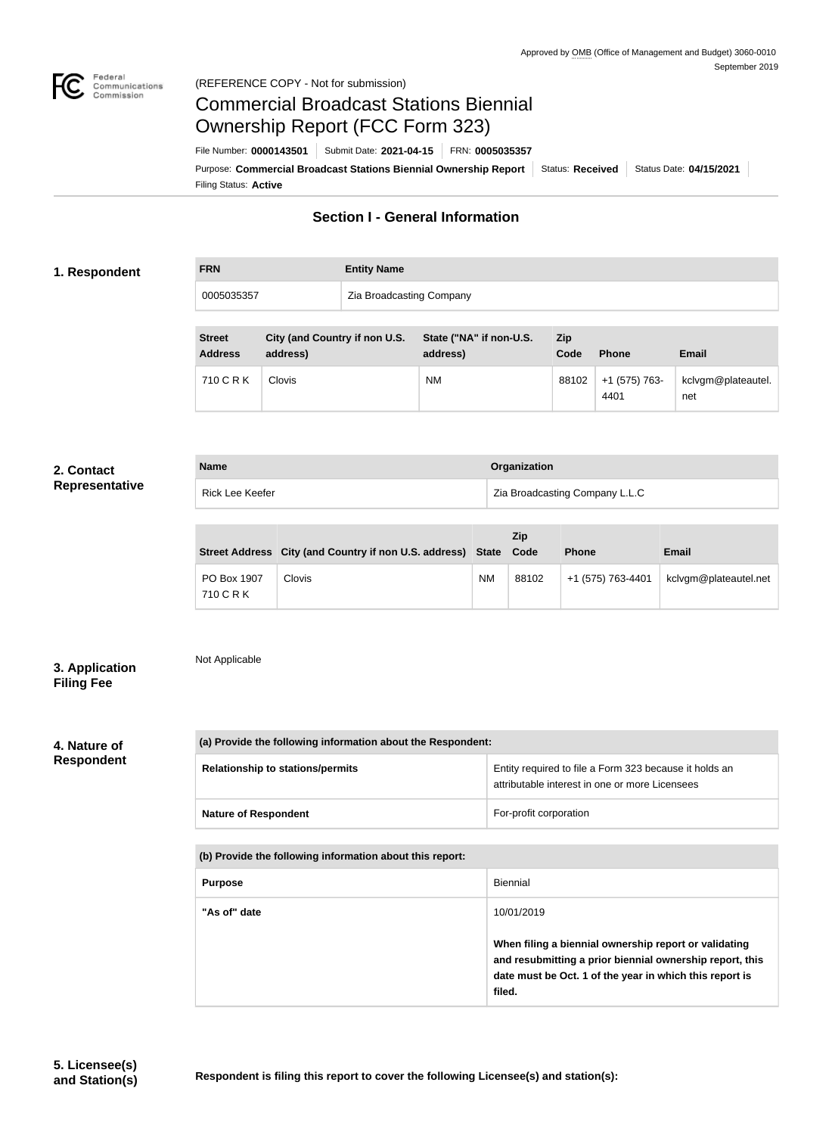

# Commercial Broadcast Stations Biennial Ownership Report (FCC Form 323)

Filing Status: **Active** Purpose: Commercial Broadcast Stations Biennial Ownership Report Status: Received Status Date: 04/15/2021 File Number: **0000143501** Submit Date: **2021-04-15** FRN: **0005035357**

# **Section I - General Information**

# **1. Respondent**

| <b>FRN</b> | <b>Entity Name</b>       |
|------------|--------------------------|
| 0005035357 | Zia Broadcasting Company |

| <b>Street</b><br><b>Address</b> | City (and Country if non U.S.<br>address) | State ("NA" if non-U.S.<br>address) | Zip<br>Code | <b>Phone</b>          | <b>Email</b>              |
|---------------------------------|-------------------------------------------|-------------------------------------|-------------|-----------------------|---------------------------|
| 710 C R K                       | <b>Clovis</b>                             | <b>NM</b>                           | 88102       | +1 (575) 763-<br>4401 | kclvgm@plateautel.<br>net |

#### **2. Contact Representative**

| <b>Name</b>     | Organization                   |
|-----------------|--------------------------------|
| Rick Lee Keefer | Zia Broadcasting Company L.L.C |

|                          | Street Address City (and Country if non U.S. address) State Code |    | <b>Zip</b> | <b>Phone</b>      | <b>Email</b>          |
|--------------------------|------------------------------------------------------------------|----|------------|-------------------|-----------------------|
| PO Box 1907<br>710 C R K | Clovis                                                           | ΝM | 88102      | +1 (575) 763-4401 | kclvgm@plateautel.net |

## **3. Application Filing Fee**

Not Applicable

**4. Nature of Respondent**

| (a) Provide the following information about the Respondent: |                                                                                                          |  |
|-------------------------------------------------------------|----------------------------------------------------------------------------------------------------------|--|
| <b>Relationship to stations/permits</b>                     | Entity required to file a Form 323 because it holds an<br>attributable interest in one or more Licensees |  |
| <b>Nature of Respondent</b>                                 | For-profit corporation                                                                                   |  |

**(b) Provide the following information about this report:**

| <b>Purpose</b> | <b>Biennial</b>                                                                                                                                                                        |
|----------------|----------------------------------------------------------------------------------------------------------------------------------------------------------------------------------------|
| "As of" date   | 10/01/2019                                                                                                                                                                             |
|                | When filing a biennial ownership report or validating<br>and resubmitting a prior biennial ownership report, this<br>date must be Oct. 1 of the year in which this report is<br>filed. |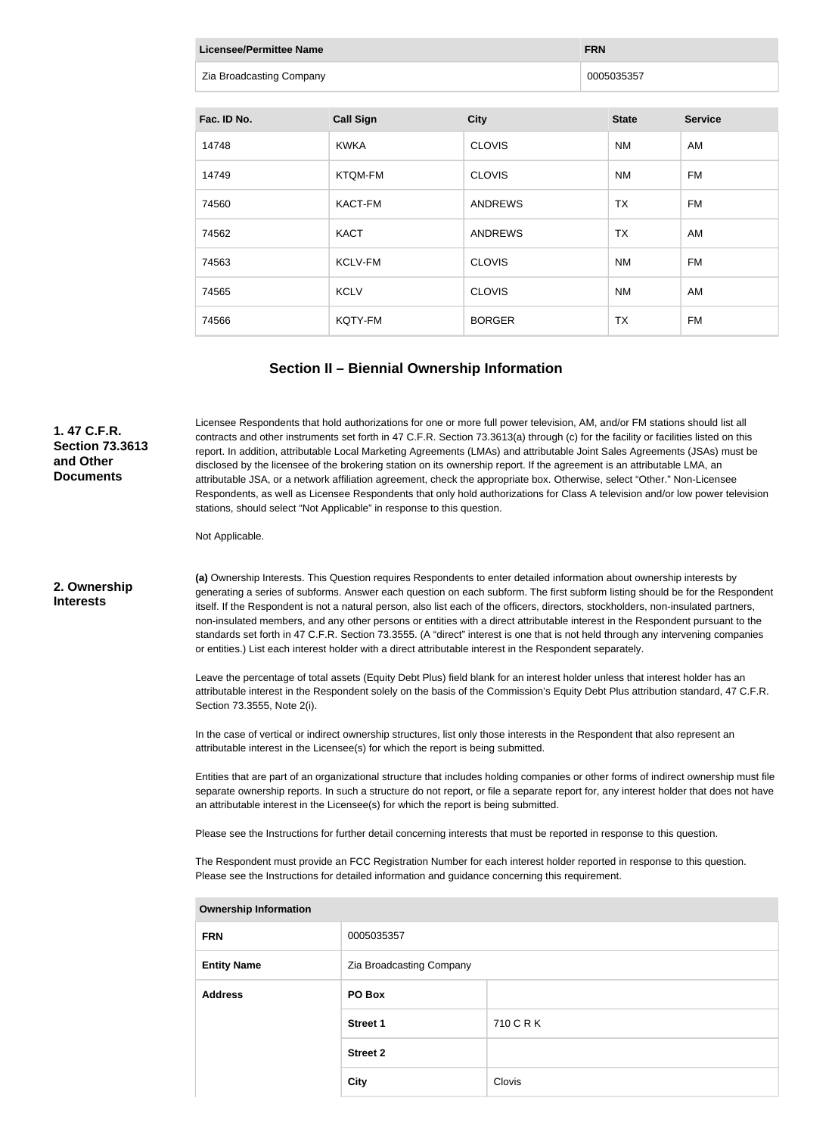| <b>Licensee/Permittee Name</b> | <b>FRN</b>       |                |              |                |
|--------------------------------|------------------|----------------|--------------|----------------|
| Zia Broadcasting Company       |                  |                | 0005035357   |                |
|                                |                  |                |              |                |
| Fac. ID No.                    | <b>Call Sign</b> | <b>City</b>    | <b>State</b> | <b>Service</b> |
| 14748                          | <b>KWKA</b>      | <b>CLOVIS</b>  | <b>NM</b>    | AM             |
| 14749                          | <b>KTQM-FM</b>   | <b>CLOVIS</b>  | <b>NM</b>    | FM             |
| 74560                          | KACT-FM          | <b>ANDREWS</b> | TX           | FM             |
| 74562                          | <b>KACT</b>      | <b>ANDREWS</b> | <b>TX</b>    | AM             |
| 74563                          | KCLV-FM          | <b>CLOVIS</b>  | <b>NM</b>    | <b>FM</b>      |
| 74565                          | <b>KCLV</b>      | <b>CLOVIS</b>  | <b>NM</b>    | AM             |
| 74566                          | KQTY-FM          | <b>BORGER</b>  | <b>TX</b>    | <b>FM</b>      |

## **Section II – Biennial Ownership Information**

#### **1. 47 C.F.R. Section 73.3613 and Other Documents**

Licensee Respondents that hold authorizations for one or more full power television, AM, and/or FM stations should list all contracts and other instruments set forth in 47 C.F.R. Section 73.3613(a) through (c) for the facility or facilities listed on this report. In addition, attributable Local Marketing Agreements (LMAs) and attributable Joint Sales Agreements (JSAs) must be disclosed by the licensee of the brokering station on its ownership report. If the agreement is an attributable LMA, an attributable JSA, or a network affiliation agreement, check the appropriate box. Otherwise, select "Other." Non-Licensee Respondents, as well as Licensee Respondents that only hold authorizations for Class A television and/or low power television stations, should select "Not Applicable" in response to this question.

Not Applicable.

#### **2. Ownership Interests**

**(a)** Ownership Interests. This Question requires Respondents to enter detailed information about ownership interests by generating a series of subforms. Answer each question on each subform. The first subform listing should be for the Respondent itself. If the Respondent is not a natural person, also list each of the officers, directors, stockholders, non-insulated partners, non-insulated members, and any other persons or entities with a direct attributable interest in the Respondent pursuant to the standards set forth in 47 C.F.R. Section 73.3555. (A "direct" interest is one that is not held through any intervening companies or entities.) List each interest holder with a direct attributable interest in the Respondent separately.

Leave the percentage of total assets (Equity Debt Plus) field blank for an interest holder unless that interest holder has an attributable interest in the Respondent solely on the basis of the Commission's Equity Debt Plus attribution standard, 47 C.F.R. Section 73.3555, Note 2(i).

In the case of vertical or indirect ownership structures, list only those interests in the Respondent that also represent an attributable interest in the Licensee(s) for which the report is being submitted.

Entities that are part of an organizational structure that includes holding companies or other forms of indirect ownership must file separate ownership reports. In such a structure do not report, or file a separate report for, any interest holder that does not have an attributable interest in the Licensee(s) for which the report is being submitted.

Please see the Instructions for further detail concerning interests that must be reported in response to this question.

The Respondent must provide an FCC Registration Number for each interest holder reported in response to this question. Please see the Instructions for detailed information and guidance concerning this requirement.

| <b>Ownership Information</b> |                          |           |  |
|------------------------------|--------------------------|-----------|--|
| <b>FRN</b>                   | 0005035357               |           |  |
| <b>Entity Name</b>           | Zia Broadcasting Company |           |  |
| <b>Address</b>               | PO Box                   |           |  |
|                              | <b>Street 1</b>          | 710 C R K |  |
|                              | <b>Street 2</b>          |           |  |
|                              | <b>City</b>              | Clovis    |  |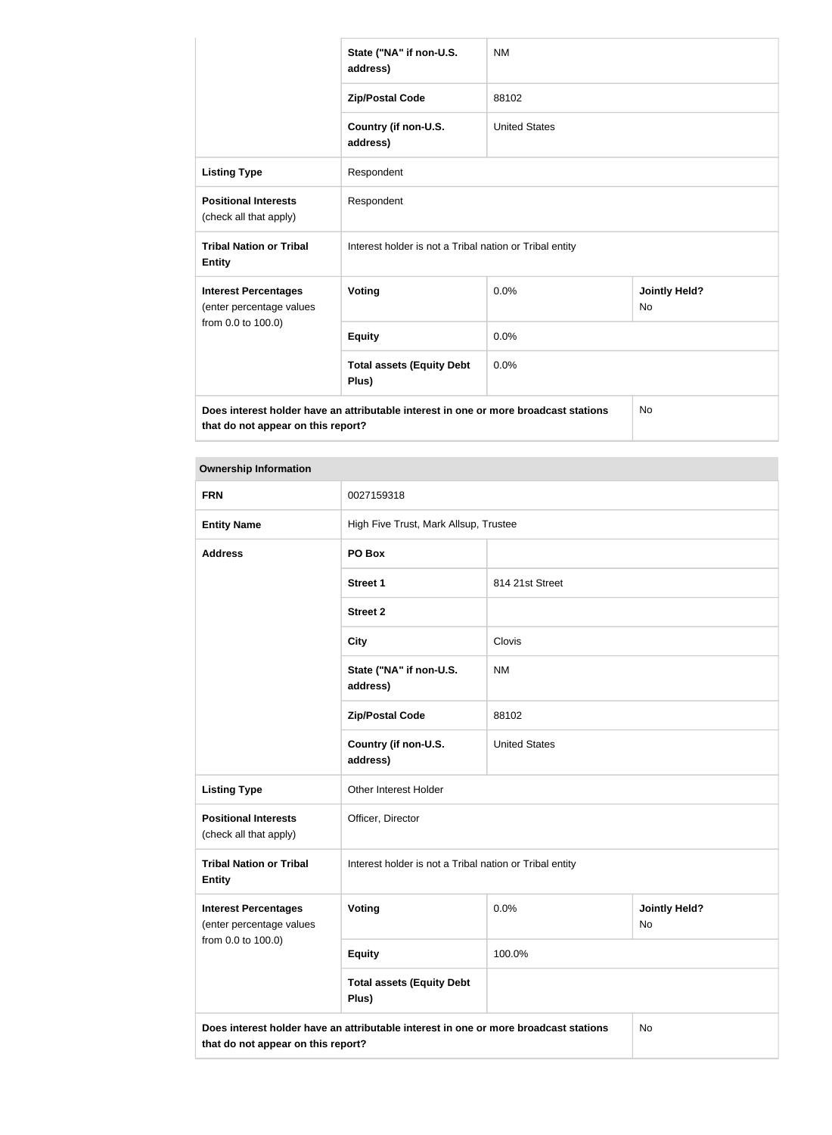|                                                                                                                            | State ("NA" if non-U.S.<br>address)                     | <b>NM</b>            |                            |
|----------------------------------------------------------------------------------------------------------------------------|---------------------------------------------------------|----------------------|----------------------------|
|                                                                                                                            | <b>Zip/Postal Code</b>                                  | 88102                |                            |
|                                                                                                                            | Country (if non-U.S.<br>address)                        | <b>United States</b> |                            |
| <b>Listing Type</b>                                                                                                        | Respondent                                              |                      |                            |
| <b>Positional Interests</b><br>(check all that apply)                                                                      | Respondent                                              |                      |                            |
| <b>Tribal Nation or Tribal</b><br><b>Entity</b>                                                                            | Interest holder is not a Tribal nation or Tribal entity |                      |                            |
| <b>Interest Percentages</b><br>(enter percentage values                                                                    | Voting                                                  | 0.0%                 | <b>Jointly Held?</b><br>No |
| from 0.0 to 100.0)                                                                                                         | <b>Equity</b>                                           | 0.0%                 |                            |
|                                                                                                                            | <b>Total assets (Equity Debt</b><br>Plus)               | 0.0%                 |                            |
| Does interest holder have an attributable interest in one or more broadcast stations<br>that do not appear on this report? |                                                         |                      | No                         |

**Ownership Information**

| omnoranip imormanoni                                                                                                             |                                                         |                      |                            |
|----------------------------------------------------------------------------------------------------------------------------------|---------------------------------------------------------|----------------------|----------------------------|
| <b>FRN</b>                                                                                                                       | 0027159318                                              |                      |                            |
| <b>Entity Name</b>                                                                                                               | High Five Trust, Mark Allsup, Trustee                   |                      |                            |
| <b>Address</b>                                                                                                                   | PO Box                                                  |                      |                            |
|                                                                                                                                  | Street 1                                                | 814 21st Street      |                            |
|                                                                                                                                  | <b>Street 2</b>                                         |                      |                            |
|                                                                                                                                  | <b>City</b>                                             | Clovis               |                            |
|                                                                                                                                  | State ("NA" if non-U.S.<br>address)                     | <b>NM</b>            |                            |
|                                                                                                                                  | <b>Zip/Postal Code</b>                                  | 88102                |                            |
|                                                                                                                                  | Country (if non-U.S.<br>address)                        | <b>United States</b> |                            |
| <b>Listing Type</b>                                                                                                              | Other Interest Holder                                   |                      |                            |
| <b>Positional Interests</b><br>(check all that apply)                                                                            | Officer, Director                                       |                      |                            |
| <b>Tribal Nation or Tribal</b><br><b>Entity</b>                                                                                  | Interest holder is not a Tribal nation or Tribal entity |                      |                            |
| <b>Interest Percentages</b><br>(enter percentage values                                                                          | <b>Voting</b>                                           | 0.0%                 | <b>Jointly Held?</b><br>No |
| from 0.0 to 100.0)                                                                                                               | <b>Equity</b>                                           | 100.0%               |                            |
|                                                                                                                                  | <b>Total assets (Equity Debt</b><br>Plus)               |                      |                            |
| Does interest holder have an attributable interest in one or more broadcast stations<br>No<br>that do not appear on this report? |                                                         |                      |                            |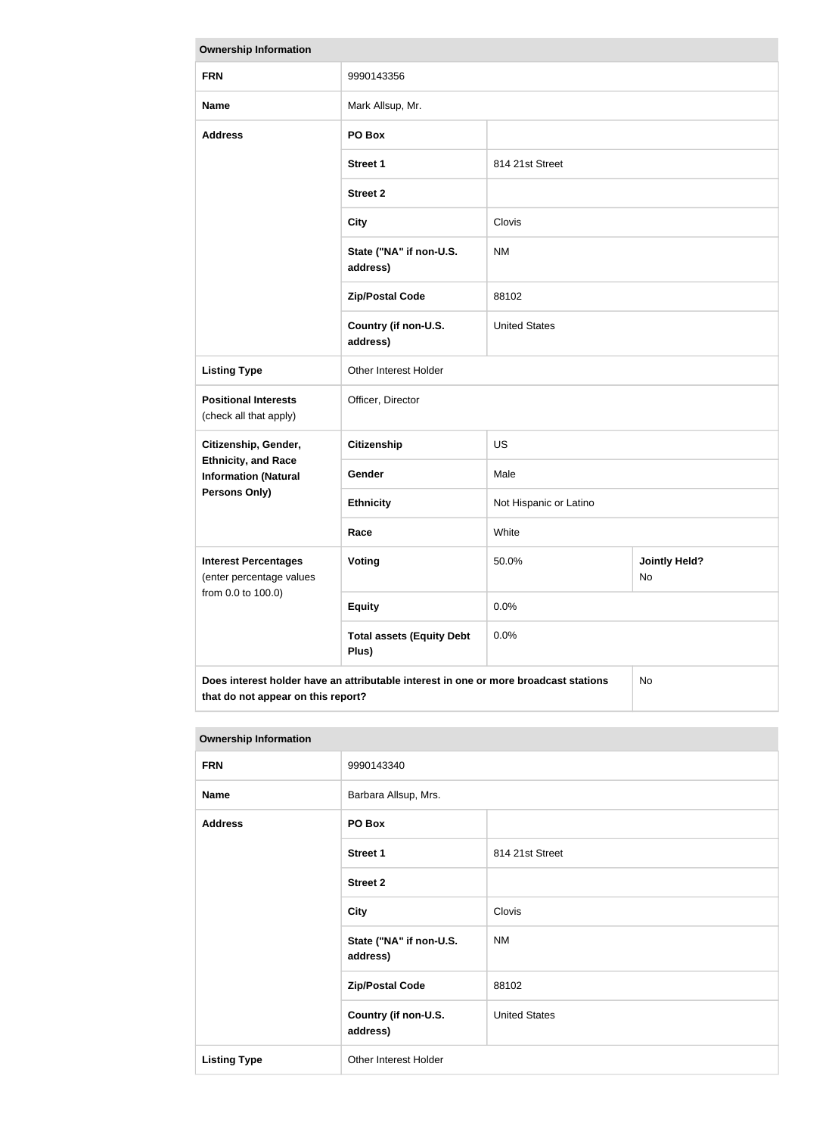| <b>Ownership Information</b>                                                               |                                           |                        |                            |  |
|--------------------------------------------------------------------------------------------|-------------------------------------------|------------------------|----------------------------|--|
| <b>FRN</b>                                                                                 | 9990143356                                |                        |                            |  |
| <b>Name</b>                                                                                | Mark Allsup, Mr.                          |                        |                            |  |
| <b>Address</b>                                                                             | PO Box                                    |                        |                            |  |
|                                                                                            | <b>Street 1</b>                           | 814 21st Street        |                            |  |
|                                                                                            | <b>Street 2</b>                           |                        |                            |  |
|                                                                                            | <b>City</b>                               | Clovis                 |                            |  |
|                                                                                            | State ("NA" if non-U.S.<br>address)       | <b>NM</b>              |                            |  |
|                                                                                            | <b>Zip/Postal Code</b>                    | 88102                  |                            |  |
|                                                                                            | Country (if non-U.S.<br>address)          | <b>United States</b>   |                            |  |
| <b>Listing Type</b>                                                                        | Other Interest Holder                     |                        |                            |  |
| <b>Positional Interests</b><br>(check all that apply)                                      | Officer, Director                         |                        |                            |  |
| Citizenship, Gender,                                                                       | <b>Citizenship</b>                        | <b>US</b>              |                            |  |
| <b>Ethnicity, and Race</b><br><b>Information (Natural</b>                                  | Gender                                    | Male                   |                            |  |
| <b>Persons Only)</b>                                                                       | <b>Ethnicity</b>                          | Not Hispanic or Latino |                            |  |
|                                                                                            | Race                                      | White                  |                            |  |
| <b>Interest Percentages</b><br>(enter percentage values                                    | Voting                                    | 50.0%                  | <b>Jointly Held?</b><br>No |  |
| from 0.0 to 100.0)                                                                         | <b>Equity</b>                             | 0.0%                   |                            |  |
|                                                                                            | <b>Total assets (Equity Debt</b><br>Plus) | 0.0%                   |                            |  |
| Does interest holder have an attributable interest in one or more broadcast stations<br>No |                                           |                        |                            |  |

| <b>Ownership Information</b> |                                     |                      |
|------------------------------|-------------------------------------|----------------------|
| <b>FRN</b>                   | 9990143340                          |                      |
| <b>Name</b>                  | Barbara Allsup, Mrs.                |                      |
| <b>Address</b>               | PO Box                              |                      |
|                              | <b>Street 1</b>                     | 814 21st Street      |
|                              | <b>Street 2</b>                     |                      |
|                              | <b>City</b>                         | Clovis               |
|                              | State ("NA" if non-U.S.<br>address) | <b>NM</b>            |
|                              | <b>Zip/Postal Code</b>              | 88102                |
|                              | Country (if non-U.S.<br>address)    | <b>United States</b> |
| <b>Listing Type</b>          | Other Interest Holder               |                      |

**that do not appear on this report?**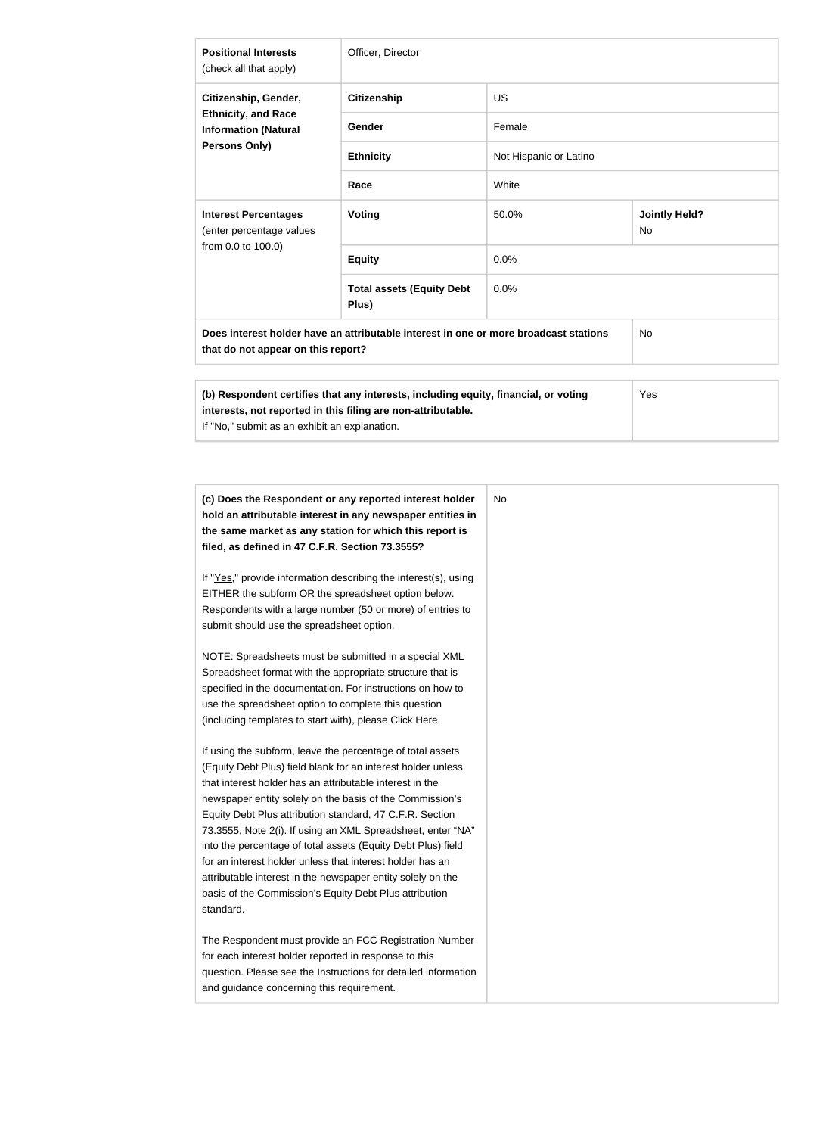| <b>Positional Interests</b><br>(check all that apply)                                                                      | Officer, Director                                                                                                                                   |                        |                                   |  |
|----------------------------------------------------------------------------------------------------------------------------|-----------------------------------------------------------------------------------------------------------------------------------------------------|------------------------|-----------------------------------|--|
| Citizenship, Gender,<br><b>Ethnicity, and Race</b><br><b>Information (Natural</b><br>Persons Only)                         | <b>Citizenship</b>                                                                                                                                  | <b>US</b>              |                                   |  |
|                                                                                                                            | <b>Gender</b>                                                                                                                                       | Female                 |                                   |  |
|                                                                                                                            | <b>Ethnicity</b>                                                                                                                                    | Not Hispanic or Latino |                                   |  |
|                                                                                                                            | Race                                                                                                                                                | White                  |                                   |  |
| <b>Interest Percentages</b><br>(enter percentage values<br>from 0.0 to 100.0)                                              | <b>Voting</b>                                                                                                                                       | 50.0%                  | <b>Jointly Held?</b><br><b>No</b> |  |
|                                                                                                                            | <b>Equity</b>                                                                                                                                       | 0.0%                   |                                   |  |
|                                                                                                                            | <b>Total assets (Equity Debt</b><br>Plus)                                                                                                           | 0.0%                   |                                   |  |
| Does interest holder have an attributable interest in one or more broadcast stations<br>that do not appear on this report? |                                                                                                                                                     |                        | <b>No</b>                         |  |
| If "No," submit as an exhibit an explanation.                                                                              | (b) Respondent certifies that any interests, including equity, financial, or voting<br>interests, not reported in this filing are non-attributable. |                        | Yes                               |  |

| (c) Does the Respondent or any reported interest holder<br>hold an attributable interest in any newspaper entities in<br>the same market as any station for which this report is<br>filed, as defined in 47 C.F.R. Section 73.3555?                                                                                                                                                                                                                                                                                                                                                                                                              |
|--------------------------------------------------------------------------------------------------------------------------------------------------------------------------------------------------------------------------------------------------------------------------------------------------------------------------------------------------------------------------------------------------------------------------------------------------------------------------------------------------------------------------------------------------------------------------------------------------------------------------------------------------|
| If "Yes," provide information describing the interest(s), using<br>EITHER the subform OR the spreadsheet option below.<br>Respondents with a large number (50 or more) of entries to<br>submit should use the spreadsheet option.                                                                                                                                                                                                                                                                                                                                                                                                                |
| NOTE: Spreadsheets must be submitted in a special XML<br>Spreadsheet format with the appropriate structure that is<br>specified in the documentation. For instructions on how to<br>use the spreadsheet option to complete this question<br>(including templates to start with), please Click Here.                                                                                                                                                                                                                                                                                                                                              |
| If using the subform, leave the percentage of total assets<br>(Equity Debt Plus) field blank for an interest holder unless<br>that interest holder has an attributable interest in the<br>newspaper entity solely on the basis of the Commission's<br>Equity Debt Plus attribution standard, 47 C.F.R. Section<br>73.3555, Note 2(i). If using an XML Spreadsheet, enter "NA"<br>into the percentage of total assets (Equity Debt Plus) field<br>for an interest holder unless that interest holder has an<br>attributable interest in the newspaper entity solely on the<br>basis of the Commission's Equity Debt Plus attribution<br>standard. |
| The Respondent must provide an FCC Registration Number<br>for each interest holder reported in response to this<br>question. Please see the Instructions for detailed information<br>and guidance concerning this requirement.                                                                                                                                                                                                                                                                                                                                                                                                                   |